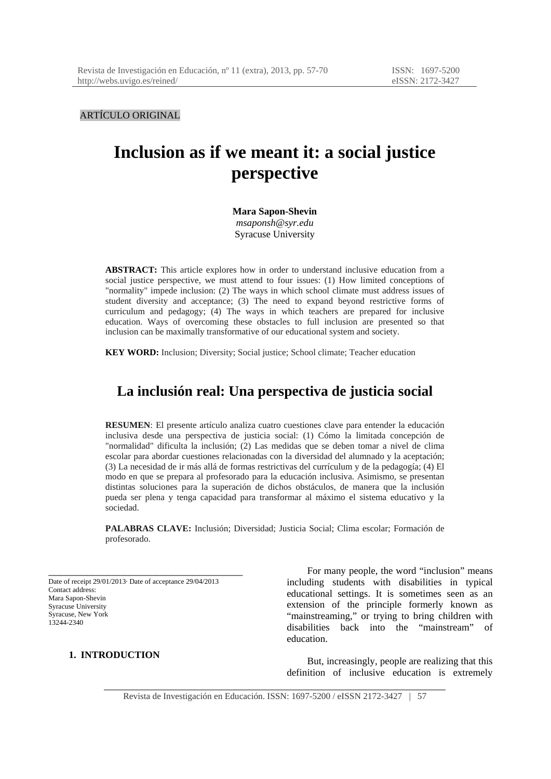ARTÍCULO ORIGINAL

# **Inclusion as if we meant it: a social justice perspective**

**Mara Sapon-Shevin**  *msaponsh@syr.edu*  Syracuse University

**ABSTRACT:** This article explores how in order to understand inclusive education from a social justice perspective, we must attend to four issues: (1) How limited conceptions of "normality" impede inclusion: (2) The ways in which school climate must address issues of student diversity and acceptance; (3) The need to expand beyond restrictive forms of curriculum and pedagogy; (4) The ways in which teachers are prepared for inclusive education. Ways of overcoming these obstacles to full inclusion are presented so that inclusion can be maximally transformative of our educational system and society.

**KEY WORD:** Inclusion; Diversity; Social justice; School climate; Teacher education

# **La inclusión real: Una perspectiva de justicia social**

**RESUMEN**: El presente artículo analiza cuatro cuestiones clave para entender la educación inclusiva desde una perspectiva de justicia social: (1) Cómo la limitada concepción de "normalidad" dificulta la inclusión; (2) Las medidas que se deben tomar a nivel de clima escolar para abordar cuestiones relacionadas con la diversidad del alumnado y la aceptación; (3) La necesidad de ir más allá de formas restrictivas del currículum y de la pedagogía; (4) El modo en que se prepara al profesorado para la educación inclusiva. Asimismo, se presentan distintas soluciones para la superación de dichos obstáculos, de manera que la inclusión pueda ser plena y tenga capacidad para transformar al máximo el sistema educativo y la sociedad.

**PALABRAS CLAVE:** Inclusión; Diversidad; Justicia Social; Clima escolar; Formación de profesorado.

Date of receipt 29/01/2013· Date of acceptance 29/04/2013 Contact address: Mara Sapon-Shevin Syracuse University Syracuse, New York 13244-2340

\_\_\_\_\_\_\_\_\_\_\_\_\_\_\_\_\_\_\_\_\_\_\_\_\_\_\_\_\_\_\_\_\_\_\_\_

# **1. INTRODUCTION**

For many people, the word "inclusion" means including students with disabilities in typical educational settings. It is sometimes seen as an extension of the principle formerly known as "mainstreaming," or trying to bring children with disabilities back into the "mainstream" of education.

But, increasingly, people are realizing that this definition of inclusive education is extremely

Revista de Investigación en Educación. ISSN: 1697-5200 / eISSN 2172-3427 | 57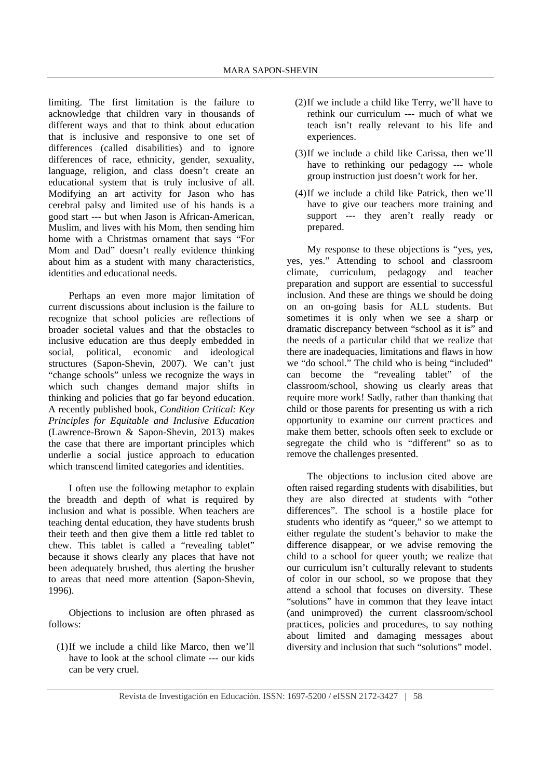limiting. The first limitation is the failure to acknowledge that children vary in thousands of different ways and that to think about education that is inclusive and responsive to one set of differences (called disabilities) and to ignore differences of race, ethnicity, gender, sexuality, language, religion, and class doesn't create an educational system that is truly inclusive of all. Modifying an art activity for Jason who has cerebral palsy and limited use of his hands is a good start --- but when Jason is African-American, Muslim, and lives with his Mom, then sending him home with a Christmas ornament that says "For Mom and Dad" doesn't really evidence thinking about him as a student with many characteristics, identities and educational needs.

Perhaps an even more major limitation of current discussions about inclusion is the failure to recognize that school policies are reflections of broader societal values and that the obstacles to inclusive education are thus deeply embedded in social, political, economic and ideological structures (Sapon-Shevin, 2007). We can't just "change schools" unless we recognize the ways in which such changes demand major shifts in thinking and policies that go far beyond education. A recently published book, *Condition Critical: Key Principles for Equitable and Inclusive Education* (Lawrence-Brown & Sapon-Shevin, 2013) makes the case that there are important principles which underlie a social justice approach to education which transcend limited categories and identities.

I often use the following metaphor to explain the breadth and depth of what is required by inclusion and what is possible. When teachers are teaching dental education, they have students brush their teeth and then give them a little red tablet to chew. This tablet is called a "revealing tablet" because it shows clearly any places that have not been adequately brushed, thus alerting the brusher to areas that need more attention (Sapon-Shevin, 1996).

Objections to inclusion are often phrased as follows:

(1)If we include a child like Marco, then we'll have to look at the school climate --- our kids can be very cruel.

- (2)If we include a child like Terry, we'll have to rethink our curriculum --- much of what we teach isn't really relevant to his life and experiences.
- (3)If we include a child like Carissa, then we'll have to rethinking our pedagogy --- whole group instruction just doesn't work for her.
- (4)If we include a child like Patrick, then we'll have to give our teachers more training and support --- they aren't really ready or prepared.

My response to these objections is "yes, yes, yes, yes." Attending to school and classroom climate, curriculum, pedagogy and teacher preparation and support are essential to successful inclusion. And these are things we should be doing on an on-going basis for ALL students. But sometimes it is only when we see a sharp or dramatic discrepancy between "school as it is" and the needs of a particular child that we realize that there are inadequacies, limitations and flaws in how we "do school." The child who is being "included" can become the "revealing tablet" of the classroom/school, showing us clearly areas that require more work! Sadly, rather than thanking that child or those parents for presenting us with a rich opportunity to examine our current practices and make them better, schools often seek to exclude or segregate the child who is "different" so as to remove the challenges presented.

The objections to inclusion cited above are often raised regarding students with disabilities, but they are also directed at students with "other differences". The school is a hostile place for students who identify as "queer," so we attempt to either regulate the student's behavior to make the difference disappear, or we advise removing the child to a school for queer youth; we realize that our curriculum isn't culturally relevant to students of color in our school, so we propose that they attend a school that focuses on diversity. These "solutions" have in common that they leave intact (and unimproved) the current classroom/school practices, policies and procedures, to say nothing about limited and damaging messages about diversity and inclusion that such "solutions" model.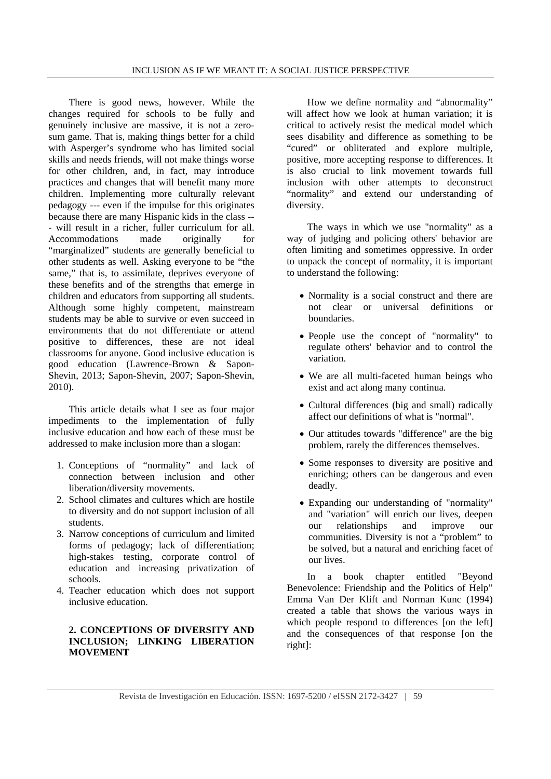There is good news, however. While the changes required for schools to be fully and genuinely inclusive are massive, it is not a zerosum game. That is, making things better for a child with Asperger's syndrome who has limited social skills and needs friends, will not make things worse for other children, and, in fact, may introduce practices and changes that will benefit many more children. Implementing more culturally relevant pedagogy --- even if the impulse for this originates because there are many Hispanic kids in the class -- - will result in a richer, fuller curriculum for all. Accommodations made originally for "marginalized" students are generally beneficial to other students as well. Asking everyone to be "the same," that is, to assimilate, deprives everyone of these benefits and of the strengths that emerge in children and educators from supporting all students. Although some highly competent, mainstream students may be able to survive or even succeed in environments that do not differentiate or attend positive to differences, these are not ideal classrooms for anyone. Good inclusive education is good education (Lawrence-Brown & Sapon-Shevin, 2013; Sapon-Shevin, 2007; Sapon-Shevin, 2010).

This article details what I see as four major impediments to the implementation of fully inclusive education and how each of these must be addressed to make inclusion more than a slogan:

- 1. Conceptions of "normality" and lack of connection between inclusion and other liberation/diversity movements.
- 2. School climates and cultures which are hostile to diversity and do not support inclusion of all students.
- 3. Narrow conceptions of curriculum and limited forms of pedagogy; lack of differentiation; high-stakes testing, corporate control of education and increasing privatization of schools.
- 4. Teacher education which does not support inclusive education.

# **2. CONCEPTIONS OF DIVERSITY AND INCLUSION; LINKING LIBERATION MOVEMENT**

How we define normality and "abnormality" will affect how we look at human variation; it is critical to actively resist the medical model which sees disability and difference as something to be "cured" or obliterated and explore multiple, positive, more accepting response to differences. It is also crucial to link movement towards full inclusion with other attempts to deconstruct "normality" and extend our understanding of diversity.

The ways in which we use "normality" as a way of judging and policing others' behavior are often limiting and sometimes oppressive. In order to unpack the concept of normality, it is important to understand the following:

- Normality is a social construct and there are not clear or universal definitions or boundaries.
- People use the concept of "normality" to regulate others' behavior and to control the variation.
- We are all multi-faceted human beings who exist and act along many continua.
- Cultural differences (big and small) radically affect our definitions of what is "normal".
- Our attitudes towards "difference" are the big problem, rarely the differences themselves.
- Some responses to diversity are positive and enriching; others can be dangerous and even deadly.
- Expanding our understanding of "normality" and "variation" will enrich our lives, deepen our relationships and improve our communities. Diversity is not a "problem" to be solved, but a natural and enriching facet of our lives.

In a book chapter entitled "Beyond Benevolence: Friendship and the Politics of Help" Emma Van Der Klift and Norman Kunc (1994) created a table that shows the various ways in which people respond to differences [on the left] and the consequences of that response [on the right]: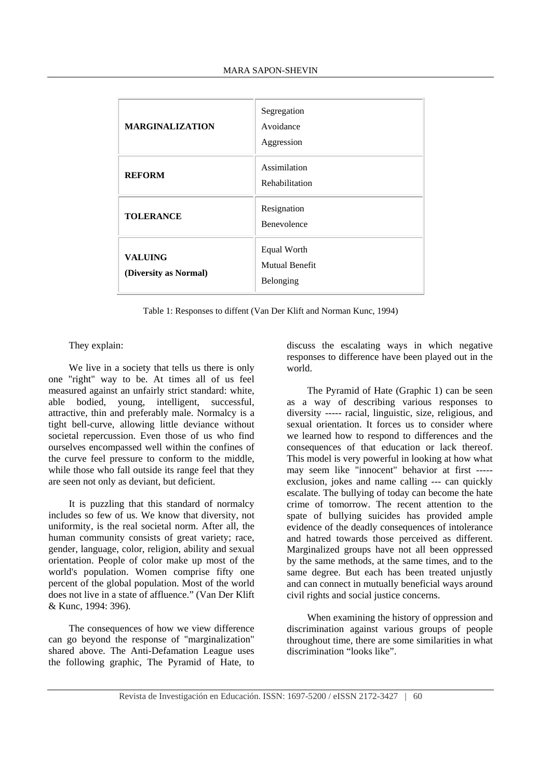| <b>MARGINALIZATION</b>                  | Segregation<br>Avoidance<br>Aggression            |
|-----------------------------------------|---------------------------------------------------|
| <b>REFORM</b>                           | Assimilation<br>Rehabilitation                    |
| <b>TOLERANCE</b>                        | Resignation<br><b>Benevolence</b>                 |
| <b>VALUING</b><br>(Diversity as Normal) | Equal Worth<br><b>Mutual Benefit</b><br>Belonging |

Table 1: Responses to diffent (Van Der Klift and Norman Kunc, 1994)

## They explain:

We live in a society that tells us there is only one "right" way to be. At times all of us feel measured against an unfairly strict standard: white, able bodied, young, intelligent, successful, attractive, thin and preferably male. Normalcy is a tight bell-curve, allowing little deviance without societal repercussion. Even those of us who find ourselves encompassed well within the confines of the curve feel pressure to conform to the middle, while those who fall outside its range feel that they are seen not only as deviant, but deficient.

It is puzzling that this standard of normalcy includes so few of us. We know that diversity, not uniformity, is the real societal norm. After all, the human community consists of great variety; race, gender, language, color, religion, ability and sexual orientation. People of color make up most of the world's population. Women comprise fifty one percent of the global population. Most of the world does not live in a state of affluence." (Van Der Klift & Kunc, 1994: 396).

The consequences of how we view difference can go beyond the response of "marginalization" shared above. The Anti-Defamation League uses the following graphic, The Pyramid of Hate, to discuss the escalating ways in which negative responses to difference have been played out in the world.

The Pyramid of Hate (Graphic 1) can be seen as a way of describing various responses to diversity ----- racial, linguistic, size, religious, and sexual orientation. It forces us to consider where we learned how to respond to differences and the consequences of that education or lack thereof. This model is very powerful in looking at how what may seem like "innocent" behavior at first ---- exclusion, jokes and name calling --- can quickly escalate. The bullying of today can become the hate crime of tomorrow. The recent attention to the spate of bullying suicides has provided ample evidence of the deadly consequences of intolerance and hatred towards those perceived as different. Marginalized groups have not all been oppressed by the same methods, at the same times, and to the same degree. But each has been treated unjustly and can connect in mutually beneficial ways around civil rights and social justice concerns.

When examining the history of oppression and discrimination against various groups of people throughout time, there are some similarities in what discrimination "looks like".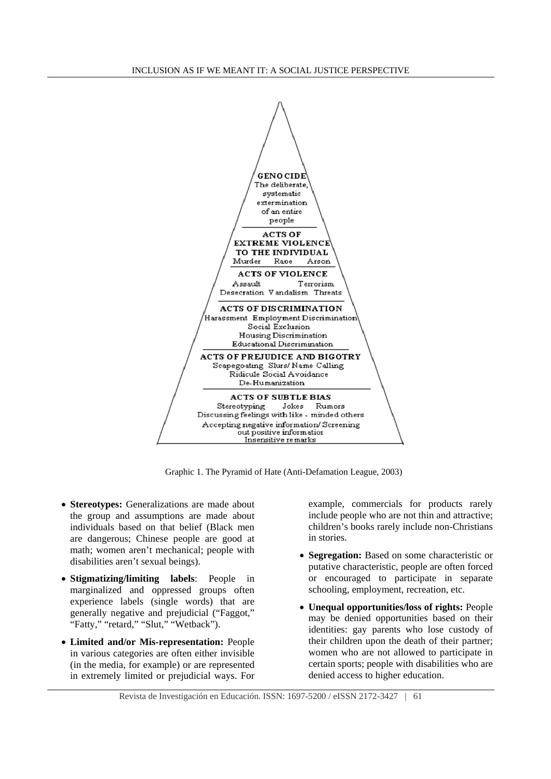

Graphic 1. The Pyramid of Hate (Anti-Defamation League, 2003)

- **Stereotypes:** Generalizations are made about the group and assumptions are made about individuals based on that belief (Black men are dangerous; Chinese people are good at math; women aren't mechanical; people with disabilities aren't sexual beings).
- **Stigmatizing/limiting labels**: People in marginalized and oppressed groups often experience labels (single words) that are generally negative and prejudicial ("Faggot," "Fatty," "retard," "Slut," "Wetback").
- **Limited and/or Mis-representation:** People in various categories are often either invisible (in the media, for example) or are represented in extremely limited or prejudicial ways. For

example, commercials for products rarely include people who are not thin and attractive; children's books rarely include non-Christians in stories.

- **Segregation:** Based on some characteristic or putative characteristic, people are often forced or encouraged to participate in separate schooling, employment, recreation, etc.
- **Unequal opportunities/loss of rights:** People may be denied opportunities based on their identities: gay parents who lose custody of their children upon the death of their partner; women who are not allowed to participate in certain sports; people with disabilities who are denied access to higher education.

Revista de Investigación en Educación. ISSN: 1697-5200 / eISSN 2172-3427 | 61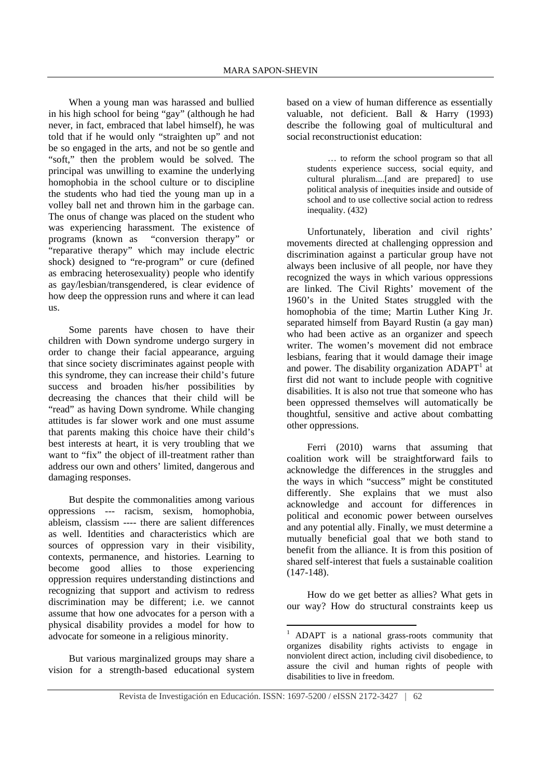When a young man was harassed and bullied in his high school for being "gay" (although he had never, in fact, embraced that label himself), he was told that if he would only "straighten up" and not be so engaged in the arts, and not be so gentle and "soft," then the problem would be solved. The principal was unwilling to examine the underlying homophobia in the school culture or to discipline the students who had tied the young man up in a volley ball net and thrown him in the garbage can. The onus of change was placed on the student who was experiencing harassment. The existence of programs (known as "conversion therapy" or "reparative therapy" which may include electric shock) designed to "re-program" or cure (defined as embracing heterosexuality) people who identify as gay/lesbian/transgendered, is clear evidence of how deep the oppression runs and where it can lead us.

Some parents have chosen to have their children with Down syndrome undergo surgery in order to change their facial appearance, arguing that since society discriminates against people with this syndrome, they can increase their child's future success and broaden his/her possibilities by decreasing the chances that their child will be "read" as having Down syndrome. While changing attitudes is far slower work and one must assume that parents making this choice have their child's best interests at heart, it is very troubling that we want to "fix" the object of ill-treatment rather than address our own and others' limited, dangerous and damaging responses.

But despite the commonalities among various oppressions --- racism, sexism, homophobia, ableism, classism ---- there are salient differences as well. Identities and characteristics which are sources of oppression vary in their visibility, contexts, permanence, and histories. Learning to become good allies to those experiencing oppression requires understanding distinctions and recognizing that support and activism to redress discrimination may be different; i.e. we cannot assume that how one advocates for a person with a physical disability provides a model for how to advocate for someone in a religious minority.

But various marginalized groups may share a vision for a strength-based educational system based on a view of human difference as essentially valuable, not deficient. Ball & Harry (1993) describe the following goal of multicultural and social reconstructionist education:

… to reform the school program so that all students experience success, social equity, and cultural pluralism....[and are prepared] to use political analysis of inequities inside and outside of school and to use collective social action to redress inequality. (432)

Unfortunately, liberation and civil rights' movements directed at challenging oppression and discrimination against a particular group have not always been inclusive of all people, nor have they recognized the ways in which various oppressions are linked. The Civil Rights' movement of the 1960's in the United States struggled with the homophobia of the time; Martin Luther King Jr. separated himself from Bayard Rustin (a gay man) who had been active as an organizer and speech writer. The women's movement did not embrace lesbians, fearing that it would damage their image and power. The disability organization  $ADAPT<sup>1</sup>$  at first did not want to include people with cognitive disabilities. It is also not true that someone who has been oppressed themselves will automatically be thoughtful, sensitive and active about combatting other oppressions.

Ferri (2010) warns that assuming that coalition work will be straightforward fails to acknowledge the differences in the struggles and the ways in which "success" might be constituted differently. She explains that we must also acknowledge and account for differences in political and economic power between ourselves and any potential ally. Finally, we must determine a mutually beneficial goal that we both stand to benefit from the alliance. It is from this position of shared self-interest that fuels a sustainable coalition (147-148).

How do we get better as allies? What gets in our way? How do structural constraints keep us

<sup>&</sup>lt;sup>1</sup> ADAPT is a national grass-roots community that organizes disability rights activists to engage in nonviolent direct action, including civil disobedience, to assure the civil and human rights of people with disabilities to live in freedom.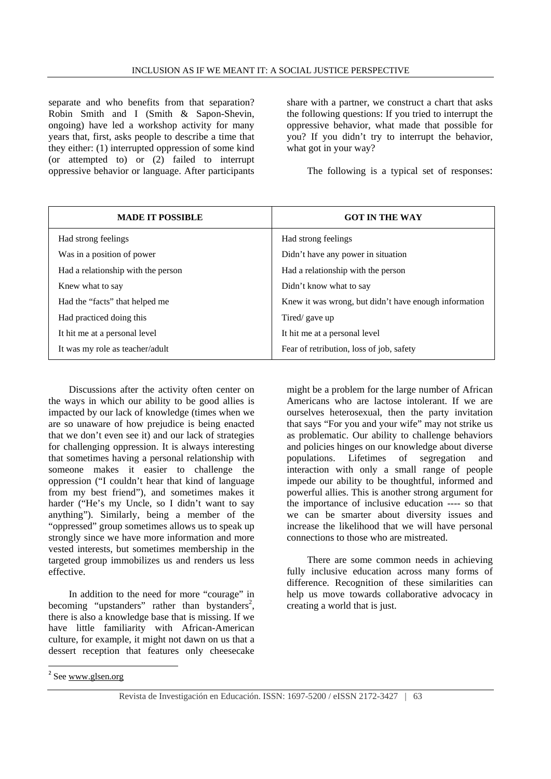separate and who benefits from that separation? Robin Smith and I (Smith & Sapon-Shevin, ongoing) have led a workshop activity for many years that, first, asks people to describe a time that they either: (1) interrupted oppression of some kind (or attempted to) or (2) failed to interrupt oppressive behavior or language. After participants

share with a partner, we construct a chart that asks the following questions: If you tried to interrupt the oppressive behavior, what made that possible for you? If you didn't try to interrupt the behavior, what got in your way?

The following is a typical set of responses:

| <b>MADE IT POSSIBLE</b>            | <b>GOT IN THE WAY</b>                                 |
|------------------------------------|-------------------------------------------------------|
| Had strong feelings                | Had strong feelings                                   |
| Was in a position of power         | Didn't have any power in situation                    |
| Had a relationship with the person | Had a relationship with the person                    |
| Knew what to say                   | Didn't know what to say                               |
| Had the "facts" that helped me     | Knew it was wrong, but didn't have enough information |
| Had practiced doing this           | Tired/ gave up                                        |
| It hit me at a personal level      | It hit me at a personal level                         |
| It was my role as teacher/adult    | Fear of retribution, loss of job, safety              |

Discussions after the activity often center on the ways in which our ability to be good allies is impacted by our lack of knowledge (times when we are so unaware of how prejudice is being enacted that we don't even see it) and our lack of strategies for challenging oppression. It is always interesting that sometimes having a personal relationship with someone makes it easier to challenge the oppression ("I couldn't hear that kind of language from my best friend"), and sometimes makes it harder ("He's my Uncle, so I didn't want to say anything"). Similarly, being a member of the "oppressed" group sometimes allows us to speak up strongly since we have more information and more vested interests, but sometimes membership in the targeted group immobilizes us and renders us less effective.

In addition to the need for more "courage" in becoming "upstanders" rather than bystanders<sup>2</sup>, there is also a knowledge base that is missing. If we have little familiarity with African-American culture, for example, it might not dawn on us that a dessert reception that features only cheesecake

might be a problem for the large number of African Americans who are lactose intolerant. If we are ourselves heterosexual, then the party invitation that says "For you and your wife" may not strike us as problematic. Our ability to challenge behaviors and policies hinges on our knowledge about diverse populations. Lifetimes of segregation and interaction with only a small range of people impede our ability to be thoughtful, informed and powerful allies. This is another strong argument for the importance of inclusive education ---- so that we can be smarter about diversity issues and increase the likelihood that we will have personal connections to those who are mistreated.

There are some common needs in achieving fully inclusive education across many forms of difference. Recognition of these similarities can help us move towards collaborative advocacy in creating a world that is just.

<u> Andrew Maria (1989)</u>

<sup>2</sup> See www.glsen.org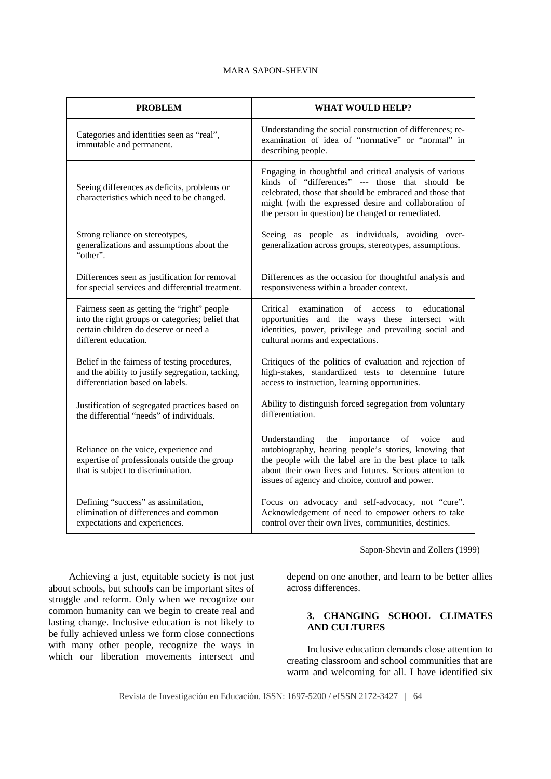#### MARA SAPON-SHEVIN

| <b>PROBLEM</b>                                                                                                                                                   | <b>WHAT WOULD HELP?</b>                                                                                                                                                                                                                                                                 |
|------------------------------------------------------------------------------------------------------------------------------------------------------------------|-----------------------------------------------------------------------------------------------------------------------------------------------------------------------------------------------------------------------------------------------------------------------------------------|
| Categories and identities seen as "real",<br>immutable and permanent.                                                                                            | Understanding the social construction of differences; re-<br>examination of idea of "normative" or "normal" in<br>describing people.                                                                                                                                                    |
| Seeing differences as deficits, problems or<br>characteristics which need to be changed.                                                                         | Engaging in thoughtful and critical analysis of various<br>kinds of "differences" --- those that should be<br>celebrated, those that should be embraced and those that<br>might (with the expressed desire and collaboration of<br>the person in question) be changed or remediated.    |
| Strong reliance on stereotypes,<br>generalizations and assumptions about the<br>"other".                                                                         | Seeing as people as individuals, avoiding over-<br>generalization across groups, stereotypes, assumptions.                                                                                                                                                                              |
| Differences seen as justification for removal<br>for special services and differential treatment.                                                                | Differences as the occasion for thoughtful analysis and<br>responsiveness within a broader context.                                                                                                                                                                                     |
| Fairness seen as getting the "right" people<br>into the right groups or categories; belief that<br>certain children do deserve or need a<br>different education. | examination of access<br>Critical<br>educational<br>to<br>opportunities and the ways these intersect with<br>identities, power, privilege and prevailing social and<br>cultural norms and expectations.                                                                                 |
| Belief in the fairness of testing procedures,<br>and the ability to justify segregation, tacking,<br>differentiation based on labels.                            | Critiques of the politics of evaluation and rejection of<br>high-stakes, standardized tests to determine future<br>access to instruction, learning opportunities.                                                                                                                       |
| Justification of segregated practices based on<br>the differential "needs" of individuals.                                                                       | Ability to distinguish forced segregation from voluntary<br>differentiation.                                                                                                                                                                                                            |
| Reliance on the voice, experience and<br>expertise of professionals outside the group<br>that is subject to discrimination.                                      | the<br>importance<br>of voice<br>Understanding<br>and<br>autobiography, hearing people's stories, knowing that<br>the people with the label are in the best place to talk<br>about their own lives and futures. Serious attention to<br>issues of agency and choice, control and power. |
| Defining "success" as assimilation,<br>elimination of differences and common<br>expectations and experiences.                                                    | Focus on advocacy and self-advocacy, not "cure".<br>Acknowledgement of need to empower others to take<br>control over their own lives, communities, destinies.                                                                                                                          |

Sapon-Shevin and Zollers (1999)

Achieving a just, equitable society is not just about schools, but schools can be important sites of struggle and reform. Only when we recognize our common humanity can we begin to create real and lasting change. Inclusive education is not likely to be fully achieved unless we form close connections with many other people, recognize the ways in which our liberation movements intersect and

depend on one another, and learn to be better allies across differences.

# **3. CHANGING SCHOOL CLIMATES AND CULTURES**

Inclusive education demands close attention to creating classroom and school communities that are warm and welcoming for all. I have identified six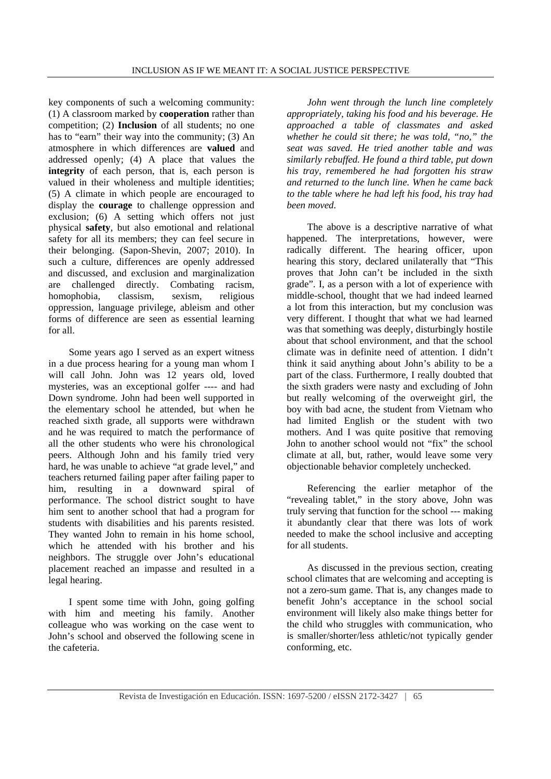key components of such a welcoming community: (1) A classroom marked by **cooperation** rather than competition; (2) **Inclusion** of all students; no one has to "earn" their way into the community; (3) An atmosphere in which differences are **valued** and addressed openly; (4) A place that values the **integrity** of each person, that is, each person is valued in their wholeness and multiple identities; (5) A climate in which people are encouraged to display the **courage** to challenge oppression and exclusion; (6) A setting which offers not just physical **safety**, but also emotional and relational safety for all its members; they can feel secure in their belonging. (Sapon-Shevin, 2007; 2010). In such a culture, differences are openly addressed and discussed, and exclusion and marginalization are challenged directly. Combating racism, homophobia, classism, sexism, religious oppression, language privilege, ableism and other forms of difference are seen as essential learning for all.

Some years ago I served as an expert witness in a due process hearing for a young man whom I will call John. John was 12 years old, loved mysteries, was an exceptional golfer ---- and had Down syndrome. John had been well supported in the elementary school he attended, but when he reached sixth grade, all supports were withdrawn and he was required to match the performance of all the other students who were his chronological peers. Although John and his family tried very hard, he was unable to achieve "at grade level," and teachers returned failing paper after failing paper to him, resulting in a downward spiral of performance. The school district sought to have him sent to another school that had a program for students with disabilities and his parents resisted. They wanted John to remain in his home school, which he attended with his brother and his neighbors. The struggle over John's educational placement reached an impasse and resulted in a legal hearing.

I spent some time with John, going golfing with him and meeting his family. Another colleague who was working on the case went to John's school and observed the following scene in the cafeteria.

*John went through the lunch line completely appropriately, taking his food and his beverage. He approached a table of classmates and asked whether he could sit there; he was told, "no," the seat was saved. He tried another table and was similarly rebuffed. He found a third table, put down his tray, remembered he had forgotten his straw and returned to the lunch line. When he came back to the table where he had left his food, his tray had been moved.* 

The above is a descriptive narrative of what happened. The interpretations, however, were radically different. The hearing officer, upon hearing this story, declared unilaterally that "This proves that John can't be included in the sixth grade". I, as a person with a lot of experience with middle-school, thought that we had indeed learned a lot from this interaction, but my conclusion was very different. I thought that what we had learned was that something was deeply, disturbingly hostile about that school environment, and that the school climate was in definite need of attention. I didn't think it said anything about John's ability to be a part of the class. Furthermore, I really doubted that the sixth graders were nasty and excluding of John but really welcoming of the overweight girl, the boy with bad acne, the student from Vietnam who had limited English or the student with two mothers. And I was quite positive that removing John to another school would not "fix" the school climate at all, but, rather, would leave some very objectionable behavior completely unchecked.

Referencing the earlier metaphor of the "revealing tablet," in the story above, John was truly serving that function for the school --- making it abundantly clear that there was lots of work needed to make the school inclusive and accepting for all students.

As discussed in the previous section, creating school climates that are welcoming and accepting is not a zero-sum game. That is, any changes made to benefit John's acceptance in the school social environment will likely also make things better for the child who struggles with communication, who is smaller/shorter/less athletic/not typically gender conforming, etc.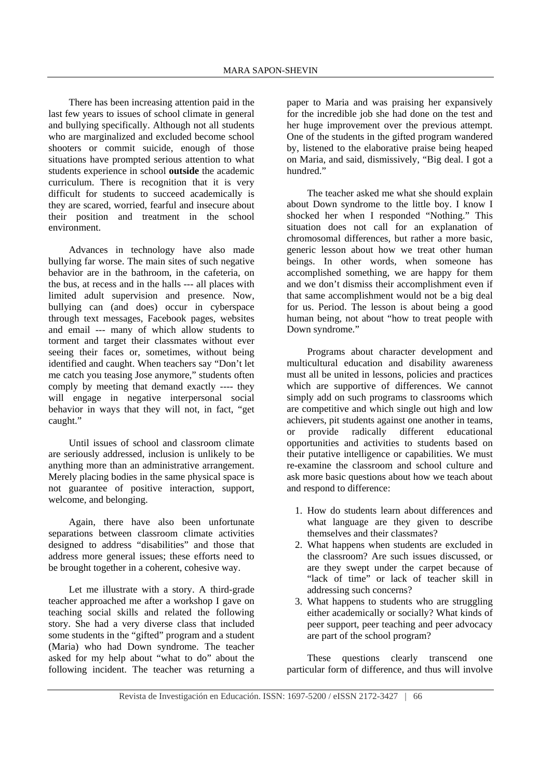There has been increasing attention paid in the last few years to issues of school climate in general and bullying specifically. Although not all students who are marginalized and excluded become school shooters or commit suicide, enough of those situations have prompted serious attention to what students experience in school **outside** the academic curriculum. There is recognition that it is very difficult for students to succeed academically is they are scared, worried, fearful and insecure about their position and treatment in the school environment.

Advances in technology have also made bullying far worse. The main sites of such negative behavior are in the bathroom, in the cafeteria, on the bus, at recess and in the halls --- all places with limited adult supervision and presence. Now, bullying can (and does) occur in cyberspace through text messages, Facebook pages, websites and email --- many of which allow students to torment and target their classmates without ever seeing their faces or, sometimes, without being identified and caught. When teachers say "Don't let me catch you teasing Jose anymore," students often comply by meeting that demand exactly ---- they will engage in negative interpersonal social behavior in ways that they will not, in fact, "get caught."

Until issues of school and classroom climate are seriously addressed, inclusion is unlikely to be anything more than an administrative arrangement. Merely placing bodies in the same physical space is not guarantee of positive interaction, support, welcome, and belonging.

Again, there have also been unfortunate separations between classroom climate activities designed to address "disabilities" and those that address more general issues; these efforts need to be brought together in a coherent, cohesive way.

Let me illustrate with a story. A third-grade teacher approached me after a workshop I gave on teaching social skills and related the following story. She had a very diverse class that included some students in the "gifted" program and a student (Maria) who had Down syndrome. The teacher asked for my help about "what to do" about the following incident. The teacher was returning a paper to Maria and was praising her expansively for the incredible job she had done on the test and her huge improvement over the previous attempt. One of the students in the gifted program wandered by, listened to the elaborative praise being heaped on Maria, and said, dismissively, "Big deal. I got a hundred."

The teacher asked me what she should explain about Down syndrome to the little boy. I know I shocked her when I responded "Nothing." This situation does not call for an explanation of chromosomal differences, but rather a more basic, generic lesson about how we treat other human beings. In other words, when someone has accomplished something, we are happy for them and we don't dismiss their accomplishment even if that same accomplishment would not be a big deal for us. Period. The lesson is about being a good human being, not about "how to treat people with Down syndrome."

Programs about character development and multicultural education and disability awareness must all be united in lessons, policies and practices which are supportive of differences. We cannot simply add on such programs to classrooms which are competitive and which single out high and low achievers, pit students against one another in teams, or provide radically different educational opportunities and activities to students based on their putative intelligence or capabilities. We must re-examine the classroom and school culture and ask more basic questions about how we teach about and respond to difference:

- 1. How do students learn about differences and what language are they given to describe themselves and their classmates?
- 2. What happens when students are excluded in the classroom? Are such issues discussed, or are they swept under the carpet because of "lack of time" or lack of teacher skill in addressing such concerns?
- 3. What happens to students who are struggling either academically or socially? What kinds of peer support, peer teaching and peer advocacy are part of the school program?

These questions clearly transcend one particular form of difference, and thus will involve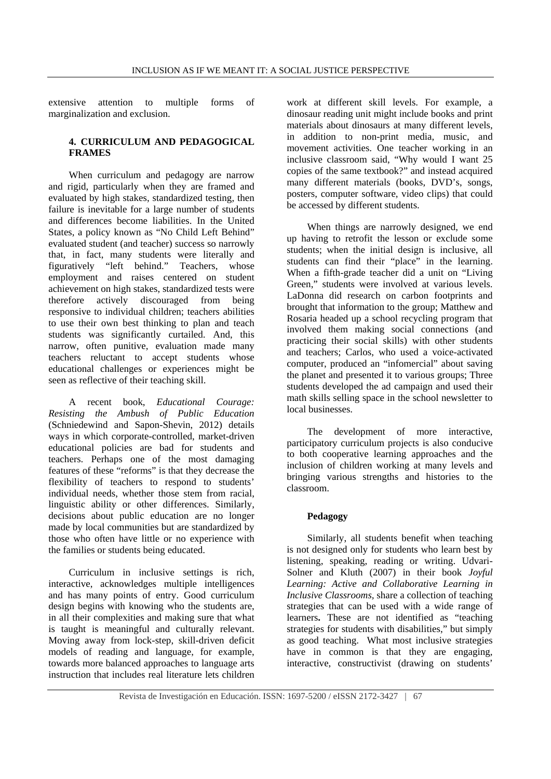extensive attention to multiple forms of marginalization and exclusion.

## **4. CURRICULUM AND PEDAGOGICAL FRAMES**

When curriculum and pedagogy are narrow and rigid, particularly when they are framed and evaluated by high stakes, standardized testing, then failure is inevitable for a large number of students and differences become liabilities. In the United States, a policy known as "No Child Left Behind" evaluated student (and teacher) success so narrowly that, in fact, many students were literally and figuratively "left behind." Teachers, whose employment and raises centered on student achievement on high stakes, standardized tests were therefore actively discouraged from being responsive to individual children; teachers abilities to use their own best thinking to plan and teach students was significantly curtailed. And, this narrow, often punitive, evaluation made many teachers reluctant to accept students whose educational challenges or experiences might be seen as reflective of their teaching skill.

A recent book, *Educational Courage: Resisting the Ambush of Public Education*  (Schniedewind and Sapon-Shevin, 2012) details ways in which corporate-controlled, market-driven educational policies are bad for students and teachers. Perhaps one of the most damaging features of these "reforms" is that they decrease the flexibility of teachers to respond to students' individual needs, whether those stem from racial, linguistic ability or other differences. Similarly, decisions about public education are no longer made by local communities but are standardized by those who often have little or no experience with the families or students being educated.

Curriculum in inclusive settings is rich, interactive, acknowledges multiple intelligences and has many points of entry. Good curriculum design begins with knowing who the students are, in all their complexities and making sure that what is taught is meaningful and culturally relevant. Moving away from lock-step, skill-driven deficit models of reading and language, for example, towards more balanced approaches to language arts instruction that includes real literature lets children work at different skill levels. For example, a dinosaur reading unit might include books and print materials about dinosaurs at many different levels, in addition to non-print media, music, and movement activities. One teacher working in an inclusive classroom said, "Why would I want 25 copies of the same textbook?" and instead acquired many different materials (books, DVD's, songs, posters, computer software, video clips) that could be accessed by different students.

When things are narrowly designed, we end up having to retrofit the lesson or exclude some students; when the initial design is inclusive, all students can find their "place" in the learning. When a fifth-grade teacher did a unit on "Living Green," students were involved at various levels. LaDonna did research on carbon footprints and brought that information to the group; Matthew and Rosaria headed up a school recycling program that involved them making social connections (and practicing their social skills) with other students and teachers; Carlos, who used a voice-activated computer, produced an "infomercial" about saving the planet and presented it to various groups; Three students developed the ad campaign and used their math skills selling space in the school newsletter to local businesses.

The development of more interactive, participatory curriculum projects is also conducive to both cooperative learning approaches and the inclusion of children working at many levels and bringing various strengths and histories to the classroom.

#### **Pedagogy**

Similarly, all students benefit when teaching is not designed only for students who learn best by listening, speaking, reading or writing. Udvari-Solner and Kluth (2007) in their book *Joyful Learning: Active and Collaborative Learning in Inclusive Classrooms,* share a collection of teaching strategies that can be used with a wide range of learners**.** These are not identified as "teaching strategies for students with disabilities," but simply as good teaching. What most inclusive strategies have in common is that they are engaging, interactive, constructivist (drawing on students'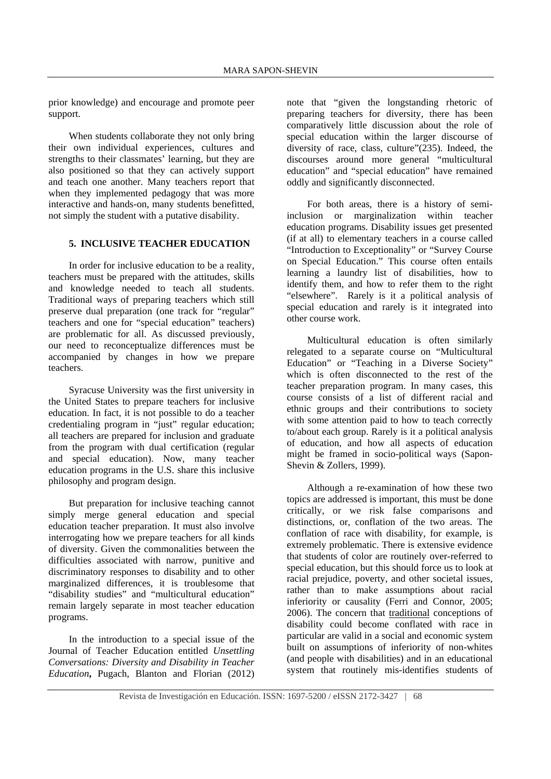prior knowledge) and encourage and promote peer support.

When students collaborate they not only bring their own individual experiences, cultures and strengths to their classmates' learning, but they are also positioned so that they can actively support and teach one another. Many teachers report that when they implemented pedagogy that was more interactive and hands-on, many students benefitted, not simply the student with a putative disability.

## **5. INCLUSIVE TEACHER EDUCATION**

In order for inclusive education to be a reality, teachers must be prepared with the attitudes, skills and knowledge needed to teach all students. Traditional ways of preparing teachers which still preserve dual preparation (one track for "regular" teachers and one for "special education" teachers) are problematic for all. As discussed previously, our need to reconceptualize differences must be accompanied by changes in how we prepare teachers.

Syracuse University was the first university in the United States to prepare teachers for inclusive education. In fact, it is not possible to do a teacher credentialing program in "just" regular education; all teachers are prepared for inclusion and graduate from the program with dual certification (regular and special education). Now, many teacher education programs in the U.S. share this inclusive philosophy and program design.

But preparation for inclusive teaching cannot simply merge general education and special education teacher preparation. It must also involve interrogating how we prepare teachers for all kinds of diversity. Given the commonalities between the difficulties associated with narrow, punitive and discriminatory responses to disability and to other marginalized differences, it is troublesome that "disability studies" and "multicultural education" remain largely separate in most teacher education programs.

In the introduction to a special issue of the Journal of Teacher Education entitled *Unsettling Conversations: Diversity and Disability in Teacher Education***,** Pugach, Blanton and Florian (2012) note that "given the longstanding rhetoric of preparing teachers for diversity, there has been comparatively little discussion about the role of special education within the larger discourse of diversity of race, class, culture"(235). Indeed, the discourses around more general "multicultural education" and "special education" have remained oddly and significantly disconnected.

For both areas, there is a history of semiinclusion or marginalization within teacher education programs. Disability issues get presented (if at all) to elementary teachers in a course called "Introduction to Exceptionality" or "Survey Course on Special Education." This course often entails learning a laundry list of disabilities, how to identify them, and how to refer them to the right "elsewhere". Rarely is it a political analysis of special education and rarely is it integrated into other course work.

Multicultural education is often similarly relegated to a separate course on "Multicultural Education" or "Teaching in a Diverse Society" which is often disconnected to the rest of the teacher preparation program. In many cases, this course consists of a list of different racial and ethnic groups and their contributions to society with some attention paid to how to teach correctly to/about each group. Rarely is it a political analysis of education, and how all aspects of education might be framed in socio-political ways (Sapon-Shevin & Zollers, 1999).

Although a re-examination of how these two topics are addressed is important, this must be done critically, or we risk false comparisons and distinctions, or, conflation of the two areas. The conflation of race with disability, for example, is extremely problematic. There is extensive evidence that students of color are routinely over-referred to special education, but this should force us to look at racial prejudice, poverty, and other societal issues, rather than to make assumptions about racial inferiority or causality (Ferri and Connor, 2005; 2006). The concern that traditional conceptions of disability could become conflated with race in particular are valid in a social and economic system built on assumptions of inferiority of non-whites (and people with disabilities) and in an educational system that routinely mis-identifies students of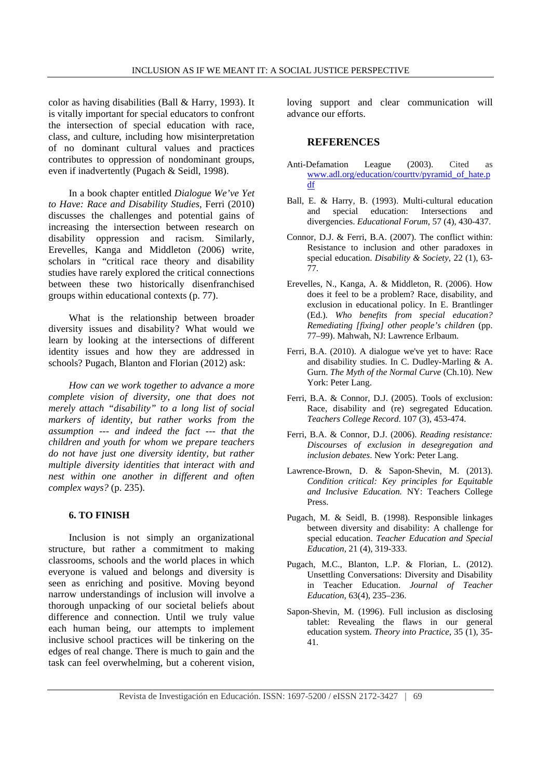color as having disabilities (Ball & Harry, 1993). It is vitally important for special educators to confront the intersection of special education with race, class, and culture, including how misinterpretation of no dominant cultural values and practices contributes to oppression of nondominant groups, even if inadvertently (Pugach & Seidl, 1998).

In a book chapter entitled *Dialogue We've Yet to Have: Race and Disability Studies*, Ferri (2010) discusses the challenges and potential gains of increasing the intersection between research on disability oppression and racism. Similarly, Erevelles, Kanga and Middleton (2006) write, scholars in "critical race theory and disability studies have rarely explored the critical connections between these two historically disenfranchised groups within educational contexts (p. 77).

What is the relationship between broader diversity issues and disability? What would we learn by looking at the intersections of different identity issues and how they are addressed in schools? Pugach, Blanton and Florian (2012) ask:

*How can we work together to advance a more complete vision of diversity, one that does not merely attach "disability" to a long list of social markers of identity, but rather works from the assumption --- and indeed the fact --- that the children and youth for whom we prepare teachers do not have just one diversity identity, but rather multiple diversity identities that interact with and nest within one another in different and often complex ways?* (p. 235).

# **6. TO FINISH**

Inclusion is not simply an organizational structure, but rather a commitment to making classrooms, schools and the world places in which everyone is valued and belongs and diversity is seen as enriching and positive. Moving beyond narrow understandings of inclusion will involve a thorough unpacking of our societal beliefs about difference and connection. Until we truly value each human being, our attempts to implement inclusive school practices will be tinkering on the edges of real change. There is much to gain and the task can feel overwhelming, but a coherent vision,

loving support and clear communication will advance our efforts.

## **REFERENCES**

- Anti-Defamation League (2003). Cited as www.adl.org/education/courttv/pyramid\_of\_hate.p df
- Ball, E. & Harry, B. (1993). Multi-cultural education and special education: Intersections and divergencies. *Educational Forum*, 57 (4), 430-437.
- Connor, D.J. & Ferri, B.A. (2007). The conflict within: Resistance to inclusion and other paradoxes in special education. *Disability & Society*, 22 (1), 63- 77.
- Erevelles, N., Kanga, A. & Middleton, R. (2006). How does it feel to be a problem? Race, disability, and exclusion in educational policy. In E. Brantlinger (Ed.). *Who benefits from special education? Remediating [fixing] other people's children* (pp. 77–99). Mahwah, NJ: Lawrence Erlbaum.
- Ferri, B.A. (2010). A dialogue we've yet to have: Race and disability studies. In C. Dudley-Marling & A. Gurn. *The Myth of the Normal Curve* (Ch.10). New York: Peter Lang.
- Ferri, B.A. & Connor, D.J. (2005). Tools of exclusion: Race, disability and (re) segregated Education*. Teachers College Record*. 107 (3), 453-474.
- Ferri, B.A. & Connor, D.J. (2006). *Reading resistance: Discourses of exclusion in desegregation and inclusion debates*. New York: Peter Lang.
- Lawrence-Brown, D. & Sapon-Shevin, M. (2013). *Condition critical: Key principles for Equitable and Inclusive Education.* NY: Teachers College Press.
- Pugach, M. & Seidl, B. (1998). Responsible linkages between diversity and disability: A challenge for special education. *Teacher Education and Special Education,* 21 (4), 319-333.
- Pugach, M.C., Blanton, L.P. & Florian, L. (2012). Unsettling Conversations: Diversity and Disability in Teacher Education. *Journal of Teacher Education,* 63(4), 235–236.
- Sapon-Shevin, M. (1996). Full inclusion as disclosing tablet: Revealing the flaws in our general education system. *Theory into Practice*, 35 (1), 35- 41.